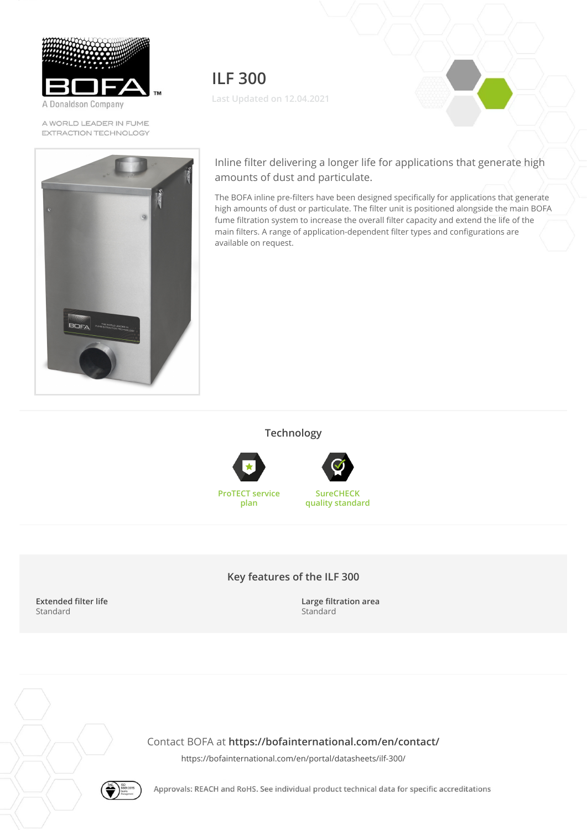

A Donaldson Company

A WORLD LEADER IN FUME EXTRACTION TECHNOLOGY



**ILF 300 Last Updated on 12.04.2021**

Inline filter delivering a longer life for applications that generate high amounts of dust and particulate.

The BOFA inline pre-filters have been designed specifically for applications that generate high amounts of dust or particulate. The filter unit is positioned alongside the main BOFA fume filtration system to increase the overall filter capacity and extend the life of the main filters. A range of application-dependent filter types and configurations are available on request.

**Technology**





**ProTECT service plan**



**Key features of the ILF 300**

**Extended filter life** Standard

**Large filtration area** Standard

Contact BOFA at **<https://bofainternational.com/en/contact/>**

<https://bofainternational.com/en/portal/datasheets/ilf-300/>



Approvals: REACH and RoHS. See individual product technical data for specific accreditations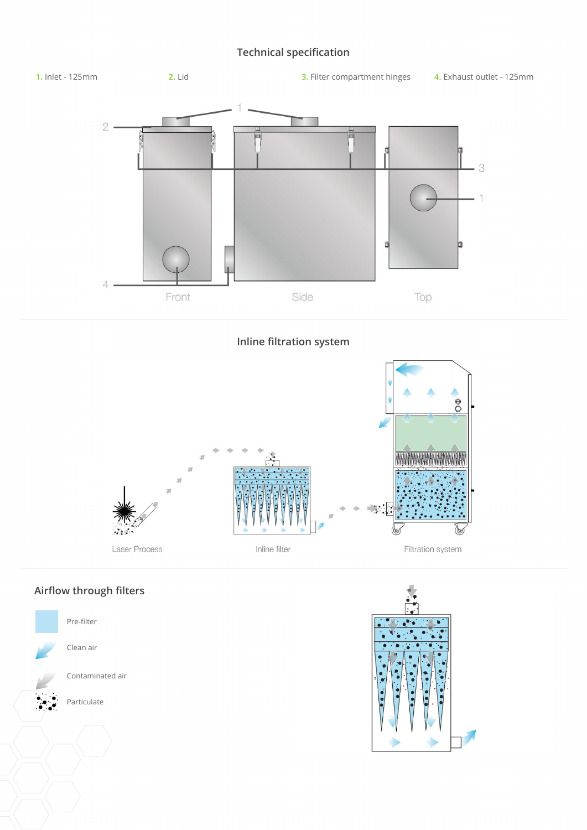## **Technical specification**



**Inline filtration system**



## **Airflow through filters**